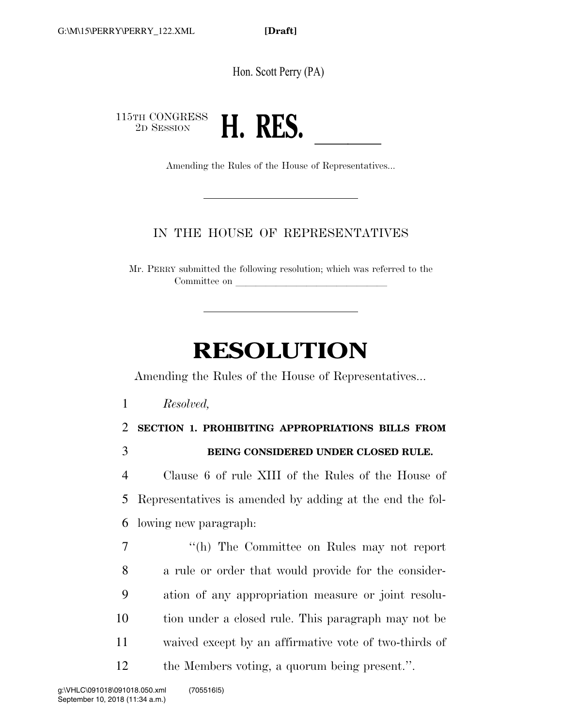Hon. Scott Perry (PA)

115TH CONGRESS<br>2D SESSION NGRESS **H. RES.**<br>Amending the Rules of the House of Representatives...

### IN THE HOUSE OF REPRESENTATIVES

Mr. PERRY submitted the following resolution; which was referred to the Committee on

# **RESOLUTION**

Amending the Rules of the House of Representatives...

1 *Resolved,* 

2 **SECTION 1. PROHIBITING APPROPRIATIONS BILLS FROM**  3 **BEING CONSIDERED UNDER CLOSED RULE.** 

4 Clause 6 of rule XIII of the Rules of the House of 5 Representatives is amended by adding at the end the fol-6 lowing new paragraph:

 ''(h) The Committee on Rules may not report a rule or order that would provide for the consider- ation of any appropriation measure or joint resolu- tion under a closed rule. This paragraph may not be waived except by an affirmative vote of two-thirds of the Members voting, a quorum being present.''.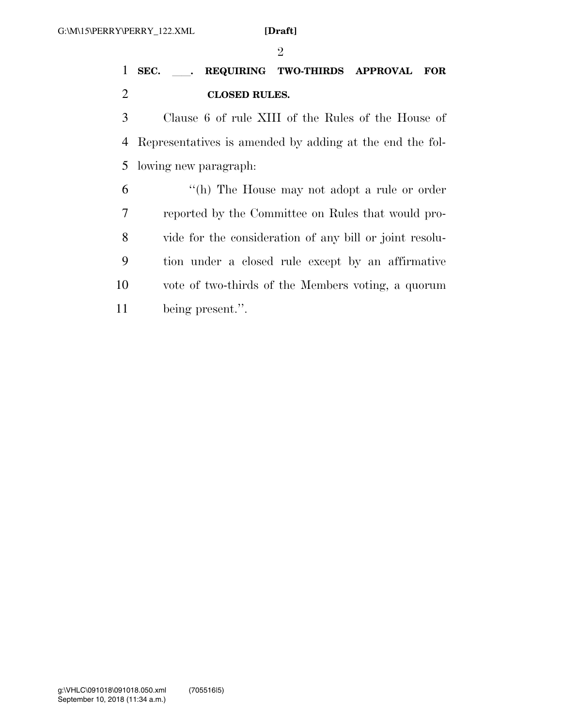$\mathfrak{D}$ 

## **SEC.** ll**. REQUIRING TWO-THIRDS APPROVAL FOR CLOSED RULES.**

 Clause 6 of rule XIII of the Rules of the House of Representatives is amended by adding at the end the fol-lowing new paragraph:

 ''(h) The House may not adopt a rule or order reported by the Committee on Rules that would pro- vide for the consideration of any bill or joint resolu- tion under a closed rule except by an affirmative vote of two-thirds of the Members voting, a quorum being present.''.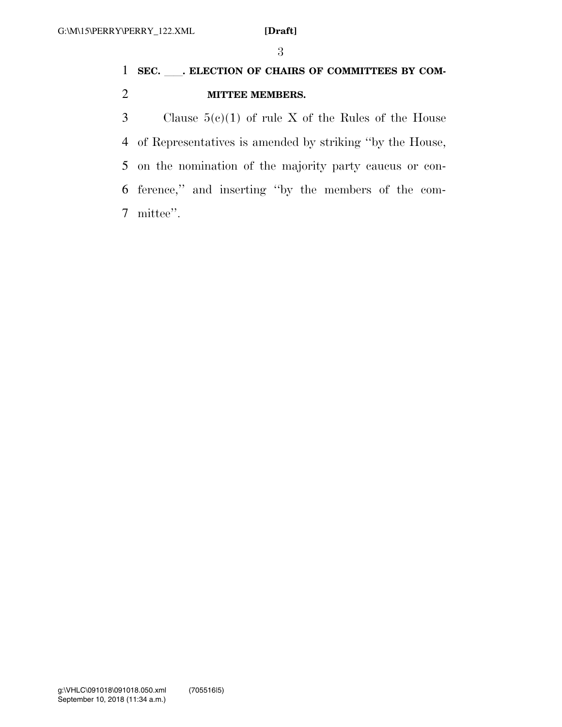## **SEC.** ll**. ELECTION OF CHAIRS OF COMMITTEES BY COM-MITTEE MEMBERS.**

 Clause 5(c)(1) of rule X of the Rules of the House of Representatives is amended by striking ''by the House, on the nomination of the majority party caucus or con- ference,'' and inserting ''by the members of the com-mittee''.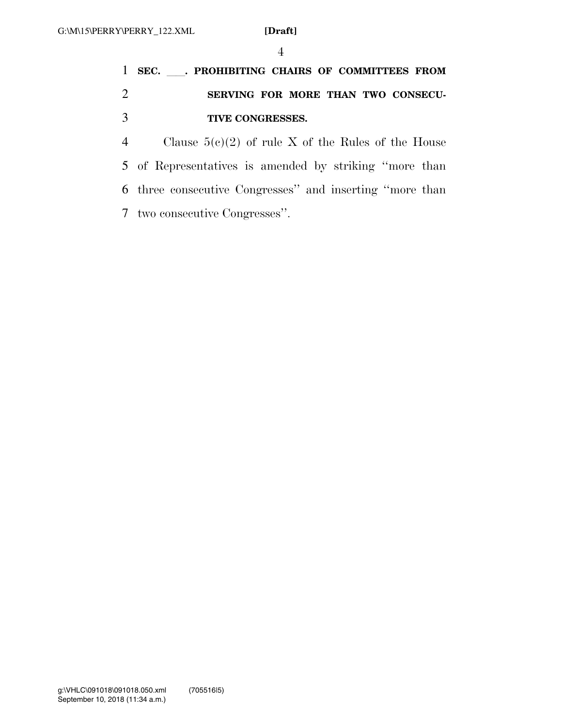## **SEC.** ll**. PROHIBITING CHAIRS OF COMMITTEES FROM SERVING FOR MORE THAN TWO CONSECU-TIVE CONGRESSES.**

 Clause 5(c)(2) of rule X of the Rules of the House of Representatives is amended by striking ''more than three consecutive Congresses'' and inserting ''more than two consecutive Congresses''.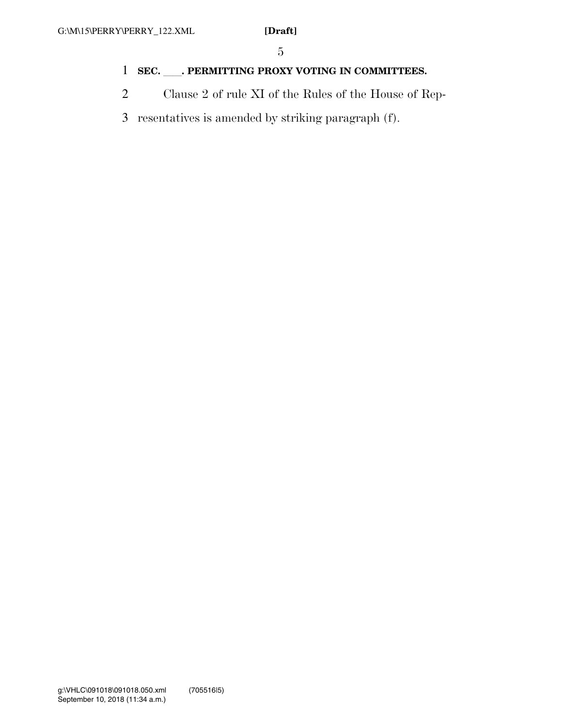### <sup>1</sup> **SEC.** ll**. PERMITTING PROXY VOTING IN COMMITTEES.**

- 2 Clause 2 of rule XI of the Rules of the House of Rep-
- 3 resentatives is amended by striking paragraph (f).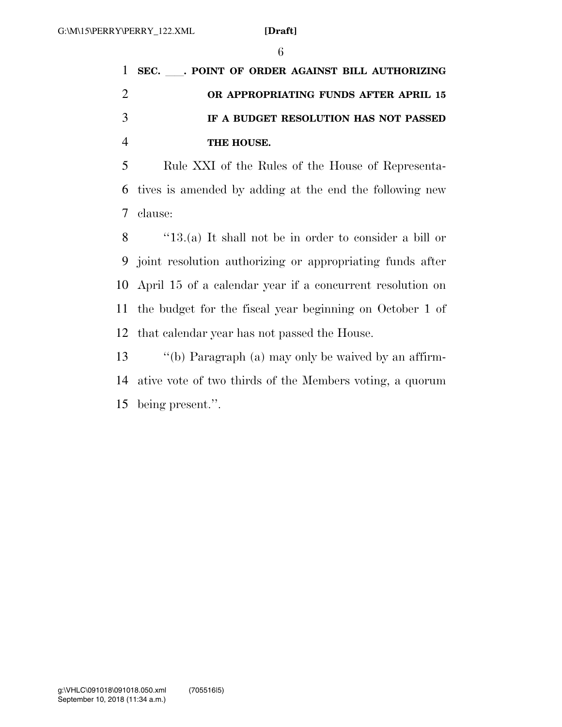**SEC.** ll**. POINT OF ORDER AGAINST BILL AUTHORIZING OR APPROPRIATING FUNDS AFTER APRIL 15 IF A BUDGET RESOLUTION HAS NOT PASSED THE HOUSE.** 

 Rule XXI of the Rules of the House of Representa- tives is amended by adding at the end the following new clause:

 ''13.(a) It shall not be in order to consider a bill or joint resolution authorizing or appropriating funds after April 15 of a calendar year if a concurrent resolution on the budget for the fiscal year beginning on October 1 of that calendar year has not passed the House.

 ''(b) Paragraph (a) may only be waived by an affirm- ative vote of two thirds of the Members voting, a quorum being present.''.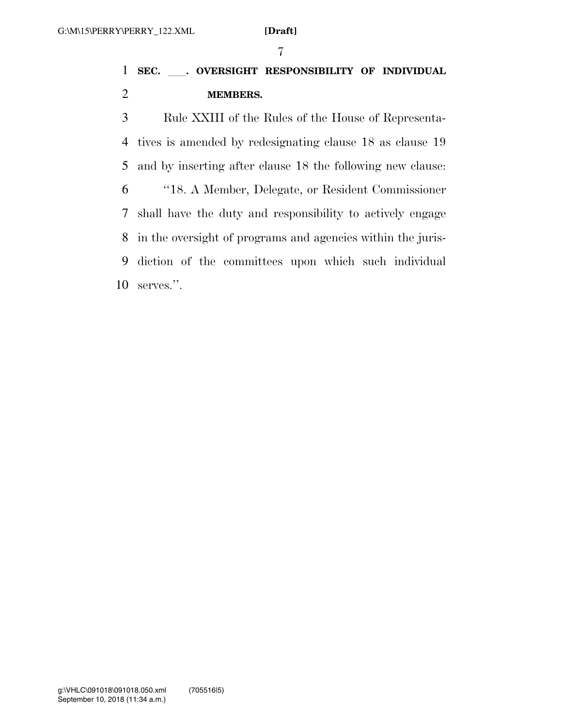## 

## **SEC.** ll**. OVERSIGHT RESPONSIBILITY OF INDIVIDUAL MEMBERS.**

 Rule XXIII of the Rules of the House of Representa- tives is amended by redesignating clause 18 as clause 19 and by inserting after clause 18 the following new clause: ''18. A Member, Delegate, or Resident Commissioner shall have the duty and responsibility to actively engage in the oversight of programs and agencies within the juris- diction of the committees upon which such individual serves.''.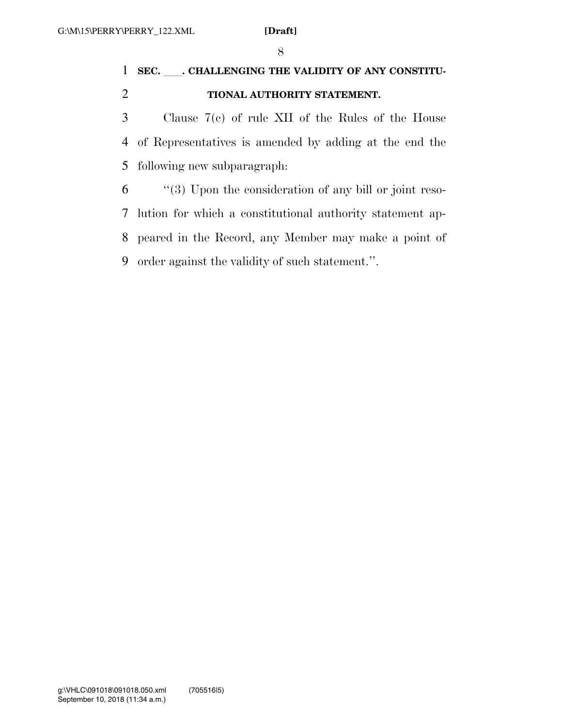## 1 SEC. CHALLENGING THE VALIDITY OF ANY CONSTITU-**TIONAL AUTHORITY STATEMENT.**

 Clause 7(c) of rule XII of the Rules of the House of Representatives is amended by adding at the end the following new subparagraph:

 ''(3) Upon the consideration of any bill or joint reso- lution for which a constitutional authority statement ap- peared in the Record, any Member may make a point of order against the validity of such statement.''.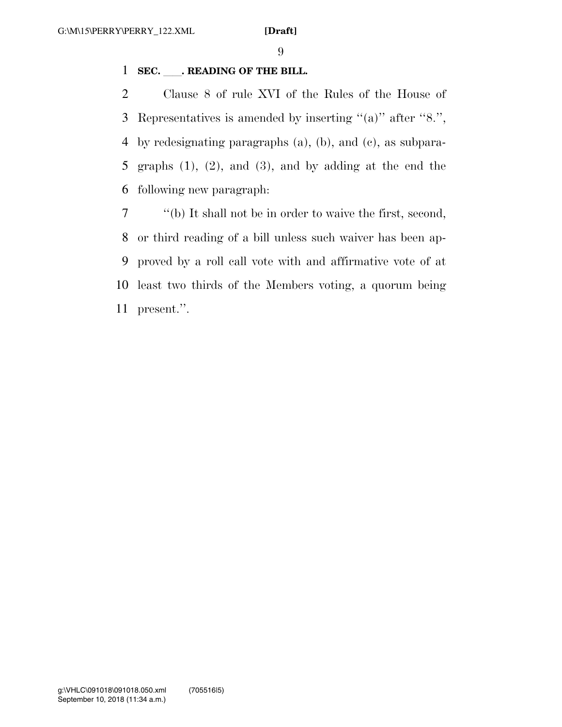#### **SEC.** . READING OF THE BILL.

 Clause 8 of rule XVI of the Rules of the House of Representatives is amended by inserting ''(a)'' after ''8.'', by redesignating paragraphs (a), (b), and (c), as subpara- graphs (1), (2), and (3), and by adding at the end the following new paragraph:

 ''(b) It shall not be in order to waive the first, second, or third reading of a bill unless such waiver has been ap- proved by a roll call vote with and affirmative vote of at least two thirds of the Members voting, a quorum being present.''.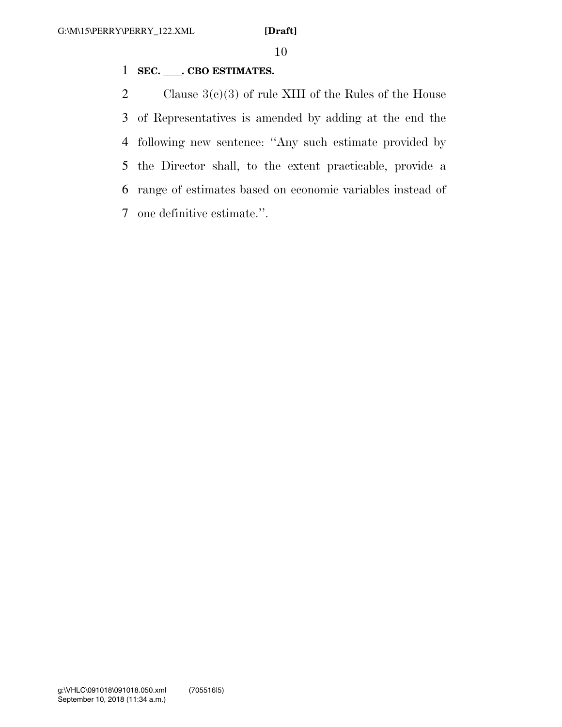#### 1 **SEC.** CBO ESTIMATES.

2 Clause  $3(c)(3)$  of rule XIII of the Rules of the House of Representatives is amended by adding at the end the following new sentence: ''Any such estimate provided by the Director shall, to the extent practicable, provide a range of estimates based on economic variables instead of one definitive estimate.''.